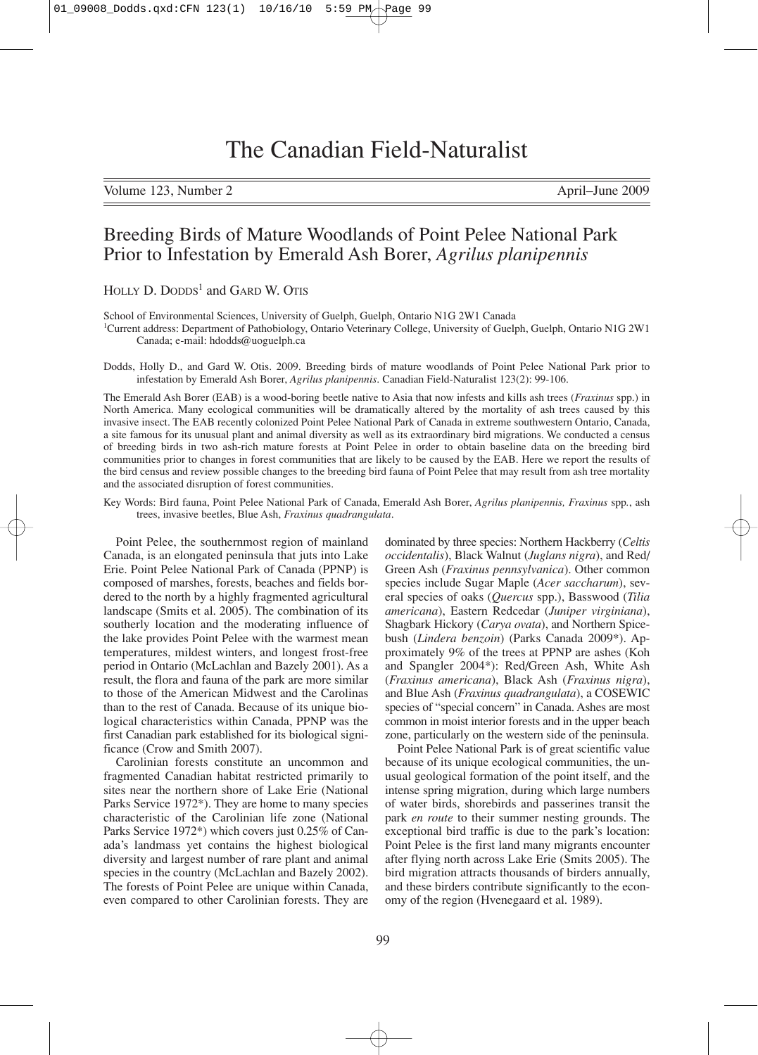Volume 123, Number 2 April–June 2009

# Breeding Birds of Mature Woodlands of Point Pelee National Park Prior to Infestation by Emerald Ash Borer, *Agrilus planipennis*

HOLLY D. DODDS<sup>1</sup> and GARD W. OTIS

School of Environmental Sciences, University of Guelph, Guelph, Ontario N1G 2W1 Canada

1 Current address: Department of Pathobiology, Ontario Veterinary College, University of Guelph, Guelph, Ontario N1G 2W1 Canada; e-mail: hdodds@uoguelph.ca

Dodds, Holly D., and Gard W. Otis. 2009. Breeding birds of mature woodlands of Point Pelee National Park prior to infestation by Emerald Ash Borer, *Agrilus planipennis*. Canadian Field-Naturalist 123(2): 99-106.

The Emerald Ash Borer (EAB) is a wood-boring beetle native to Asia that now infests and kills ash trees (*Fraxinus* spp.) in North America. Many ecological communities will be dramatically altered by the mortality of ash trees caused by this invasive insect. The EAB recently colonized Point Pelee National Park of Canada in extreme southwestern Ontario, Canada, a site famous for its unusual plant and animal diversity as well as its extraordinary bird migrations. We conducted a census of breeding birds in two ash-rich mature forests at Point Pelee in order to obtain baseline data on the breeding bird communities prior to changes in forest communities that are likely to be caused by the EAB. Here we report the results of the bird census and review possible changes to the breeding bird fauna of Point Pelee that may result from ash tree mortality and the associated disruption of forest communities.

Key Words: Bird fauna, Point Pelee National Park of Canada, Emerald Ash Borer, *Agrilus planipennis, Fraxinus* spp*.*, ash trees, invasive beetles, Blue Ash, *Fraxinus quadrangulata*.

Point Pelee, the southernmost region of mainland Canada, is an elongated peninsula that juts into Lake Erie. Point Pelee National Park of Canada (PPNP) is composed of marshes, forests, beaches and fields bordered to the north by a highly fragmented agricultural landscape (Smits et al. 2005). The combination of its southerly location and the moderating influence of the lake provides Point Pelee with the warmest mean temperatures, mildest winters, and longest frost-free period in Ontario (McLachlan and Bazely 2001). As a result, the flora and fauna of the park are more similar to those of the American Midwest and the Carolinas than to the rest of Canada. Because of its unique biological characteristics within Canada, PPNP was the first Canadian park established for its biological significance (Crow and Smith 2007).

Carolinian forests constitute an uncommon and fragmented Canadian habitat restricted primarily to sites near the northern shore of Lake Erie (National Parks Service 1972\*). They are home to many species characteristic of the Carolinian life zone (National Parks Service 1972\*) which covers just 0.25% of Canada's landmass yet contains the highest biological diversity and largest number of rare plant and animal species in the country (McLachlan and Bazely 2002). The forests of Point Pelee are unique within Canada, even compared to other Carolinian forests. They are dominated by three species: Northern Hackberry (*Celtis occidentalis*), Black Walnut (*Juglans nigra*), and Red/ Green Ash (*Fraxinus pennsylvanica*). Other common species include Sugar Maple (*Acer saccharum*), several species of oaks (*Quercus* spp.), Basswood (*Tilia americana*), Eastern Redcedar (*Juniper virginiana*), Shagbark Hickory (*Carya ovata*), and Northern Spicebush (*Lindera benzoin*) (Parks Canada 2009\*). Approximately 9% of the trees at PPNP are ashes (Koh and Spangler 2004\*): Red/Green Ash, White Ash (*Fraxinus americana*), Black Ash (*Fraxinus nigra*), and Blue Ash (*Fraxinus quadrangulata*), a COSEWIC species of "special concern" in Canada. Ashes are most common in moist interior forests and in the upper beach zone, particularly on the western side of the peninsula.

Point Pelee National Park is of great scientific value because of its unique ecological communities, the unusual geological formation of the point itself, and the intense spring migration, during which large numbers of water birds, shorebirds and passerines transit the park *en route* to their summer nesting grounds. The exceptional bird traffic is due to the park's location: Point Pelee is the first land many migrants encounter after flying north across Lake Erie (Smits 2005). The bird migration attracts thousands of birders annually, and these birders contribute significantly to the economy of the region (Hvenegaard et al. 1989).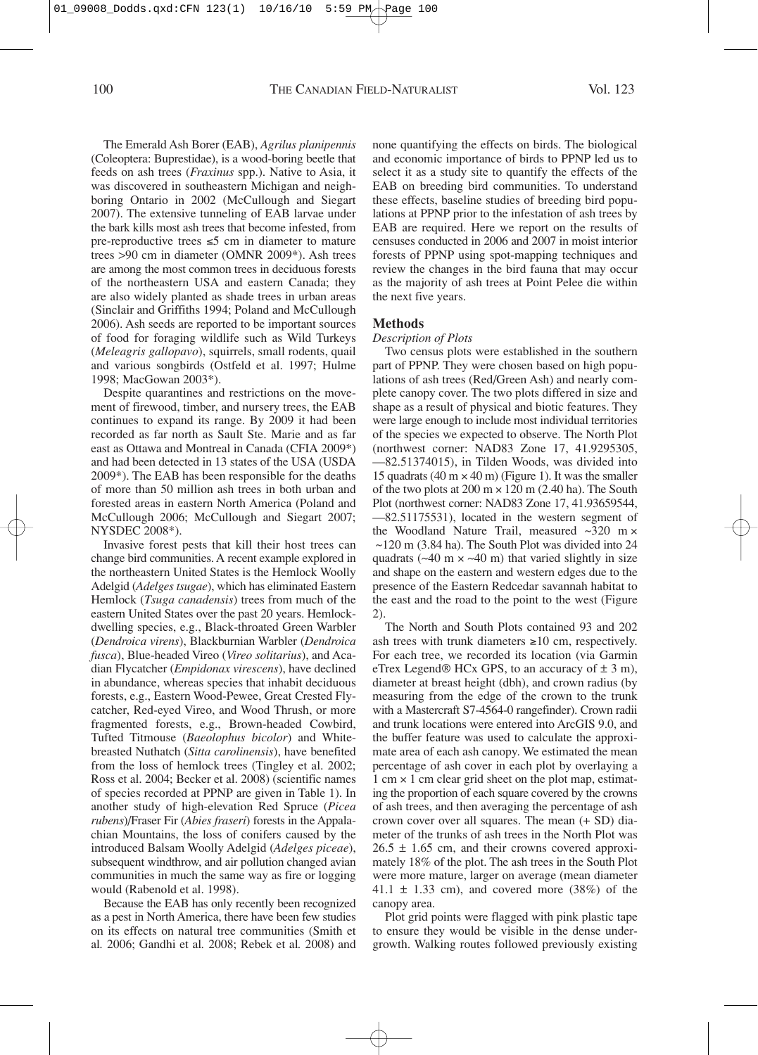The Emerald Ash Borer (EAB), *Agrilus planipennis* (Coleoptera: Buprestidae), is a wood-boring beetle that feeds on ash trees (*Fraxinus* spp.). Native to Asia, it was discovered in southeastern Michigan and neighboring Ontario in 2002 (McCullough and Siegart 2007). The extensive tunneling of EAB larvae under the bark kills most ash trees that become infested, from pre-reproductive trees ≤5 cm in diameter to mature trees >90 cm in diameter (OMNR 2009\*). Ash trees are among the most common trees in deciduous forests of the northeastern USA and eastern Canada; they are also widely planted as shade trees in urban areas (Sinclair and Griffiths 1994; Poland and McCullough 2006). Ash seeds are reported to be important sources of food for foraging wildlife such as Wild Turkeys (*Meleagris gallopavo*), squirrels, small rodents, quail and various songbirds (Ostfeld et al. 1997; Hulme 1998; MacGowan 2003\*).

Despite quarantines and restrictions on the movement of firewood, timber, and nursery trees, the EAB continues to expand its range. By 2009 it had been recorded as far north as Sault Ste. Marie and as far east as Ottawa and Montreal in Canada (CFIA 2009\*) and had been detected in 13 states of the USA (USDA 2009\*). The EAB has been responsible for the deaths of more than 50 million ash trees in both urban and forested areas in eastern North America (Poland and McCullough 2006; McCullough and Siegart 2007; NYSDEC 2008\*).

Invasive forest pests that kill their host trees can change bird communities. A recent example explored in the northeastern United States is the Hemlock Woolly Adelgid (*Adelges tsugae*), which has eliminated Eastern Hemlock (*Tsuga canadensis*) trees from much of the eastern United States over the past 20 years. Hemlockdwelling species, e.g., Black-throated Green Warbler (*Dendroica virens*), Blackburnian Warbler (*Dendroica fusca*), Blue-headed Vireo (*Vireo solitarius*), and Acadian Flycatcher (*Empidonax virescens*), have declined in abundance, whereas species that inhabit deciduous forests, e.g., Eastern Wood-Pewee, Great Crested Flycatcher, Red-eyed Vireo, and Wood Thrush, or more fragmented forests, e.g., Brown-headed Cowbird, Tufted Titmouse (*Baeolophus bicolor*) and Whitebreasted Nuthatch (*Sitta carolinensis*), have benefited from the loss of hemlock trees (Tingley et al. 2002; Ross et al. 2004; Becker et al. 2008) (scientific names of species recorded at PPNP are given in Table 1). In another study of high-elevation Red Spruce (*Picea rubens*)/Fraser Fir (*Abies fraseri*) forests in the Appalachian Mountains, the loss of conifers caused by the introduced Balsam Woolly Adelgid (*Adelges piceae*), subsequent windthrow, and air pollution changed avian communities in much the same way as fire or logging would (Rabenold et al. 1998).

Because the EAB has only recently been recognized as a pest in North America, there have been few studies on its effects on natural tree communities (Smith et al*.* 2006; Gandhi et al*.* 2008; Rebek et al*.* 2008) and none quantifying the effects on birds. The biological and economic importance of birds to PPNP led us to select it as a study site to quantify the effects of the EAB on breeding bird communities. To understand these effects, baseline studies of breeding bird populations at PPNP prior to the infestation of ash trees by EAB are required. Here we report on the results of censuses conducted in 2006 and 2007 in moist interior forests of PPNP using spot-mapping techniques and review the changes in the bird fauna that may occur as the majority of ash trees at Point Pelee die within the next five years.

## **Methods**

#### *Description of Plots*

Two census plots were established in the southern part of PPNP. They were chosen based on high populations of ash trees (Red/Green Ash) and nearly complete canopy cover. The two plots differed in size and shape as a result of physical and biotic features. They were large enough to include most individual territories of the species we expected to observe. The North Plot (northwest corner: NAD83 Zone 17, 41.9295305, —82.51374015), in Tilden Woods, was divided into 15 quadrats (40 m  $\times$  40 m) (Figure 1). It was the smaller of the two plots at  $200 \text{ m} \times 120 \text{ m}$  (2.40 ha). The South Plot (northwest corner: NAD83 Zone 17, 41.93659544, —82.51175531), located in the western segment of the Woodland Nature Trail, measured  $\approx$ 320 m  $\times$  $\sim$ 120 m (3.84 ha). The South Plot was divided into 24 quadrats ( $\sim$ 40 m  $\times$   $\sim$ 40 m) that varied slightly in size and shape on the eastern and western edges due to the presence of the Eastern Redcedar savannah habitat to the east and the road to the point to the west (Figure 2).

The North and South Plots contained 93 and 202 ash trees with trunk diameters  $\geq 10$  cm, respectively. For each tree, we recorded its location (via Garmin eTrex Legend® HCx GPS, to an accuracy of  $\pm 3$  m), diameter at breast height (dbh), and crown radius (by measuring from the edge of the crown to the trunk with a Mastercraft S7-4564-0 rangefinder). Crown radii and trunk locations were entered into ArcGIS 9.0, and the buffer feature was used to calculate the approximate area of each ash canopy. We estimated the mean percentage of ash cover in each plot by overlaying a  $1 \text{ cm} \times 1 \text{ cm}$  clear grid sheet on the plot map, estimating the proportion of each square covered by the crowns of ash trees, and then averaging the percentage of ash crown cover over all squares. The mean (+ SD) diameter of the trunks of ash trees in the North Plot was  $26.5 \pm 1.65$  cm, and their crowns covered approximately 18% of the plot. The ash trees in the South Plot were more mature, larger on average (mean diameter  $41.1 \pm 1.33$  cm), and covered more (38%) of the canopy area.

Plot grid points were flagged with pink plastic tape to ensure they would be visible in the dense undergrowth. Walking routes followed previously existing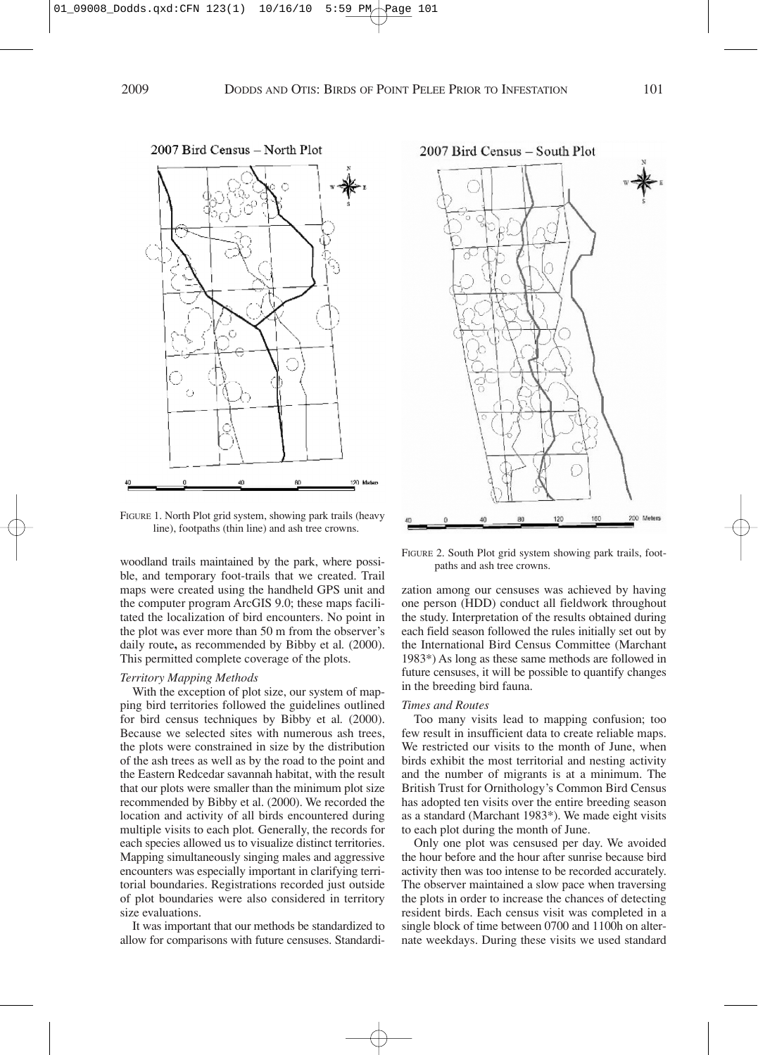

FIGURE 1. North Plot grid system, showing park trails (heavy line), footpaths (thin line) and ash tree crowns.

woodland trails maintained by the park, where possible, and temporary foot-trails that we created. Trail maps were created using the handheld GPS unit and the computer program ArcGIS 9.0; these maps facilitated the localization of bird encounters. No point in the plot was ever more than 50 m from the observer's daily route**,** as recommended by Bibby et al*.* (2000). This permitted complete coverage of the plots.

# *Territory Mapping Methods*

With the exception of plot size, our system of mapping bird territories followed the guidelines outlined for bird census techniques by Bibby et al*.* (2000). Because we selected sites with numerous ash trees, the plots were constrained in size by the distribution of the ash trees as well as by the road to the point and the Eastern Redcedar savannah habitat, with the result that our plots were smaller than the minimum plot size recommended by Bibby et al. (2000). We recorded the location and activity of all birds encountered during multiple visits to each plot*.* Generally, the records for each species allowed us to visualize distinct territories. Mapping simultaneously singing males and aggressive encounters was especially important in clarifying territorial boundaries. Registrations recorded just outside of plot boundaries were also considered in territory size evaluations.

It was important that our methods be standardized to allow for comparisons with future censuses. Standardi-



FIGURE 2. South Plot grid system showing park trails, footpaths and ash tree crowns.

zation among our censuses was achieved by having one person (HDD) conduct all fieldwork throughout the study. Interpretation of the results obtained during each field season followed the rules initially set out by the International Bird Census Committee (Marchant 1983\*) As long as these same methods are followed in future censuses, it will be possible to quantify changes in the breeding bird fauna.

## *Times and Routes*

Too many visits lead to mapping confusion; too few result in insufficient data to create reliable maps. We restricted our visits to the month of June, when birds exhibit the most territorial and nesting activity and the number of migrants is at a minimum. The British Trust for Ornithology's Common Bird Census has adopted ten visits over the entire breeding season as a standard (Marchant 1983\*). We made eight visits to each plot during the month of June.

Only one plot was censused per day. We avoided the hour before and the hour after sunrise because bird activity then was too intense to be recorded accurately. The observer maintained a slow pace when traversing the plots in order to increase the chances of detecting resident birds. Each census visit was completed in a single block of time between 0700 and 1100h on alternate weekdays. During these visits we used standard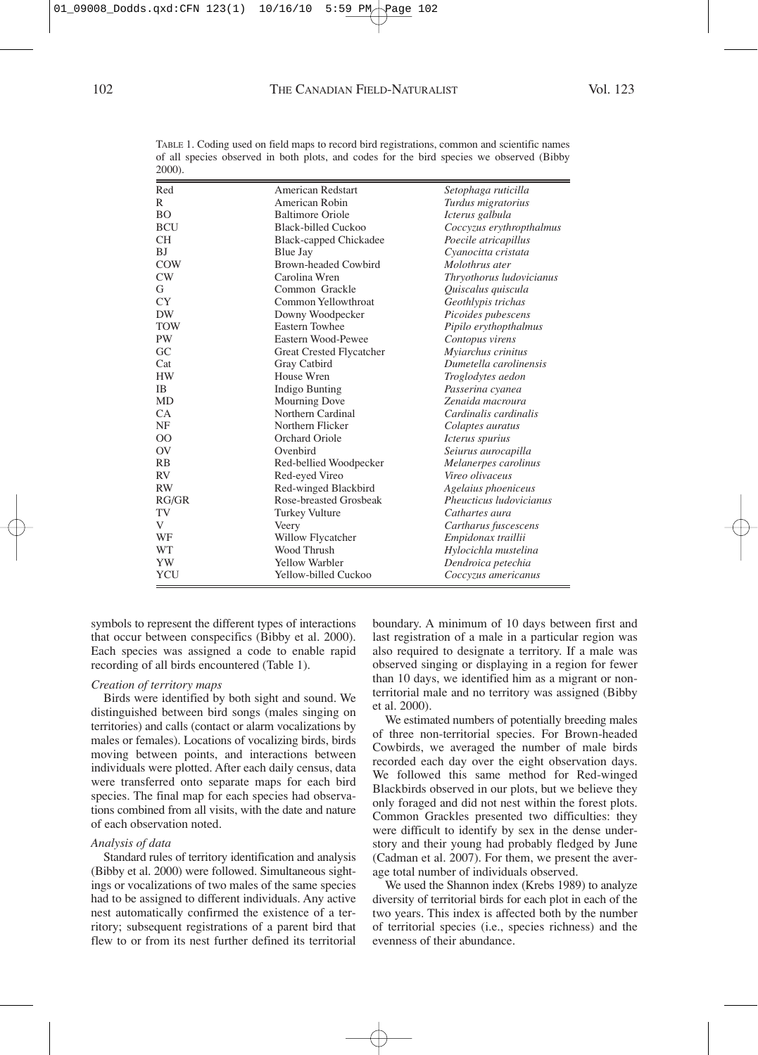| Red         | American Redstart             | Setophaga ruticilla            |
|-------------|-------------------------------|--------------------------------|
| R           | American Robin                | Turdus migratorius             |
| BО          | <b>Baltimore Oriole</b>       | Icterus galbula                |
| BCU         | <b>Black-billed Cuckoo</b>    | Coccyzus erythropthalmus       |
| CН          | <b>Black-capped Chickadee</b> | Poecile atricapillus           |
| BJ          | Blue Jay                      | Cyanocitta cristata            |
| <b>COW</b>  | Brown-headed Cowbird          | Molothrus ater                 |
| $\text{CW}$ | Carolina Wren                 | Thryothorus ludovicianus       |
| G           | Common Grackle                | Quiscalus quiscula             |
| CY          | Common Yellowthroat           | Geothlypis trichas             |
| DW          | Downy Woodpecker              | Picoides pubescens             |
| TOW         | Eastern Towhee                | Pipilo erythopthalmus          |
| PW          | Eastern Wood-Pewee            | Contopus virens                |
| GC          | Great Crested Flycatcher      | Myiarchus crinitus             |
| Cat         | Gray Catbird                  | Dumetella carolinensis         |
| HW          | House Wren                    | Troglodytes aedon              |
| ΙB          | Indigo Bunting                | Passerina cyanea               |
| MD          | <b>Mourning Dove</b>          | Zenaida macroura               |
| CA          | Northern Cardinal             | Cardinalis cardinalis          |
| NF          | Northern Flicker              | Colaptes auratus               |
| $_{\rm OO}$ | Orchard Oriole                | Icterus spurius                |
| OV          | Ovenbird                      | Seiurus aurocapilla            |
| RB          | Red-bellied Woodpecker        | Melanerpes carolinus           |
| RV          | Red-eyed Vireo                | Vireo olivaceus                |
| RW          | Red-winged Blackbird          | Agelaius phoeniceus            |
| RG/GR       | Rose-breasted Grosbeak        | Pheucticus <i>ludovicianus</i> |
| TV          | <b>Turkey Vulture</b>         | Cathartes aura                 |
| V           | Veery                         | Cartharus fuscescens           |
| WF          | Willow Flycatcher             | Empidonax traillii             |
| WT          | Wood Thrush                   | Hylocichla mustelina           |
| YW          | <b>Yellow Warbler</b>         | Dendroica petechia             |
| YCU         | Yellow-billed Cuckoo          | Coccyzus americanus            |
|             |                               |                                |

TABLE 1. Coding used on field maps to record bird registrations, common and scientific names of all species observed in both plots, and codes for the bird species we observed (Bibby 2000).

symbols to represent the different types of interactions that occur between conspecifics (Bibby et al. 2000). Each species was assigned a code to enable rapid recording of all birds encountered (Table 1).

## *Creation of territory maps*

Birds were identified by both sight and sound. We distinguished between bird songs (males singing on territories) and calls (contact or alarm vocalizations by males or females). Locations of vocalizing birds, birds moving between points, and interactions between individuals were plotted. After each daily census, data were transferred onto separate maps for each bird species. The final map for each species had observations combined from all visits, with the date and nature of each observation noted.

## *Analysis of data*

Standard rules of territory identification and analysis (Bibby et al. 2000) were followed. Simultaneous sightings or vocalizations of two males of the same species had to be assigned to different individuals. Any active nest automatically confirmed the existence of a territory; subsequent registrations of a parent bird that flew to or from its nest further defined its territorial boundary. A minimum of 10 days between first and last registration of a male in a particular region was also required to designate a territory. If a male was observed singing or displaying in a region for fewer than 10 days, we identified him as a migrant or nonterritorial male and no territory was assigned (Bibby et al. 2000).

We estimated numbers of potentially breeding males of three non-territorial species. For Brown-headed Cowbirds, we averaged the number of male birds recorded each day over the eight observation days. We followed this same method for Red-winged Blackbirds observed in our plots, but we believe they only foraged and did not nest within the forest plots. Common Grackles presented two difficulties: they were difficult to identify by sex in the dense understory and their young had probably fledged by June (Cadman et al. 2007). For them, we present the average total number of individuals observed.

We used the Shannon index (Krebs 1989) to analyze diversity of territorial birds for each plot in each of the two years. This index is affected both by the number of territorial species (i.e., species richness) and the evenness of their abundance.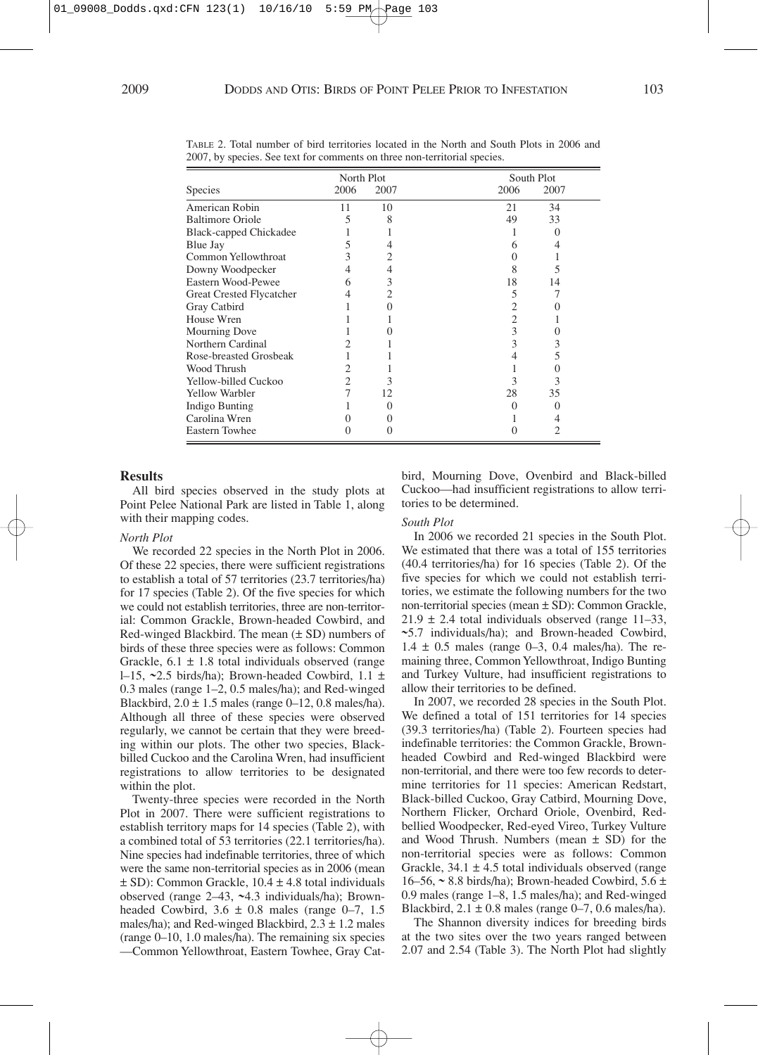|                               | North Plot |      | South Plot   |
|-------------------------------|------------|------|--------------|
| <b>Species</b>                | 2006       | 2007 | 2006<br>2007 |
| American Robin                | 11         | 10   | 34<br>21     |
| <b>Baltimore Oriole</b>       |            | 8    | 33<br>49     |
| <b>Black-capped Chickadee</b> |            |      |              |
| Blue Jay                      |            |      | 6            |
| Common Yellowthroat           |            | 2    |              |
| Downy Woodpecker              | 4          |      | 8<br>ጎ       |
| Eastern Wood-Pewee            | 6          | 3    | 18<br>14     |
| Great Crested Flycatcher      | 4          | 2    | 5            |
| Gray Catbird                  |            |      | 2            |
| House Wren                    |            |      | 2            |
| Mourning Dove                 |            |      | 3            |
| Northern Cardinal             |            |      | 3<br>3       |
| Rose-breasted Grosbeak        |            |      | 5            |
| Wood Thrush                   |            |      |              |
| Yellow-billed Cuckoo          | 2          | 3    | 3<br>3       |
| <b>Yellow Warbler</b>         |            | 12   | 28<br>35     |
| Indigo Bunting                |            |      | 0            |
| Carolina Wren                 |            |      |              |
| <b>Eastern Towhee</b>         |            |      |              |

TABLE 2. Total number of bird territories located in the North and South Plots in 2006 and 2007, by species. See text for comments on three non-territorial species.

#### **Results**

All bird species observed in the study plots at Point Pelee National Park are listed in Table 1, along with their mapping codes.

#### *North Plot*

We recorded 22 species in the North Plot in 2006. Of these 22 species, there were sufficient registrations to establish a total of 57 territories (23.7 territories/ha) for 17 species (Table 2). Of the five species for which we could not establish territories, three are non-territorial: Common Grackle, Brown-headed Cowbird, and Red-winged Blackbird. The mean (± SD) numbers of birds of these three species were as follows: Common Grackle,  $6.1 \pm 1.8$  total individuals observed (range l–15, **~**2.5 birds/ha); Brown-headed Cowbird, 1.1 ± 0.3 males (range 1–2, 0.5 males/ha); and Red-winged Blackbird,  $2.0 \pm 1.5$  males (range 0–12, 0.8 males/ha). Although all three of these species were observed regularly, we cannot be certain that they were breeding within our plots. The other two species, Blackbilled Cuckoo and the Carolina Wren, had insufficient registrations to allow territories to be designated within the plot.

Twenty-three species were recorded in the North Plot in 2007. There were sufficient registrations to establish territory maps for 14 species (Table 2), with a combined total of 53 territories (22.1 territories/ha). Nine species had indefinable territories, three of which were the same non-territorial species as in 2006 (mean ± SD): Common Grackle, 10.4 ± 4.8 total individuals observed (range 2–43, **~**4.3 individuals/ha); Brownheaded Cowbird,  $3.6 \pm 0.8$  males (range 0–7, 1.5) males/ha); and Red-winged Blackbird,  $2.3 \pm 1.2$  males (range 0–10, 1.0 males/ha). The remaining six species —Common Yellowthroat, Eastern Towhee, Gray Catbird, Mourning Dove, Ovenbird and Black-billed Cuckoo—had insufficient registrations to allow territories to be determined.

## *South Plot*

In 2006 we recorded 21 species in the South Plot. We estimated that there was a total of 155 territories (40.4 territories/ha) for 16 species (Table 2). Of the five species for which we could not establish territories, we estimate the following numbers for the two non-territorial species (mean ± SD): Common Grackle,  $21.9 \pm 2.4$  total individuals observed (range 11–33, **~**5.7 individuals/ha); and Brown-headed Cowbird,  $1.4 \pm 0.5$  males (range 0–3, 0.4 males/ha). The remaining three, Common Yellowthroat, Indigo Bunting and Turkey Vulture, had insufficient registrations to allow their territories to be defined.

In 2007, we recorded 28 species in the South Plot. We defined a total of 151 territories for 14 species (39.3 territories/ha) (Table 2). Fourteen species had indefinable territories: the Common Grackle, Brownheaded Cowbird and Red-winged Blackbird were non-territorial, and there were too few records to determine territories for 11 species: American Redstart, Black-billed Cuckoo, Gray Catbird, Mourning Dove, Northern Flicker, Orchard Oriole, Ovenbird, Redbellied Woodpecker, Red-eyed Vireo, Turkey Vulture and Wood Thrush. Numbers (mean  $\pm$  SD) for the non-territorial species were as follows: Common Grackle,  $34.1 \pm 4.5$  total individuals observed (range 16–56, **~** 8.8 birds/ha); Brown-headed Cowbird, 5.6 ± 0.9 males (range 1–8, 1.5 males/ha); and Red-winged Blackbird,  $2.1 \pm 0.8$  males (range 0–7, 0.6 males/ha).

The Shannon diversity indices for breeding birds at the two sites over the two years ranged between 2.07 and 2.54 (Table 3). The North Plot had slightly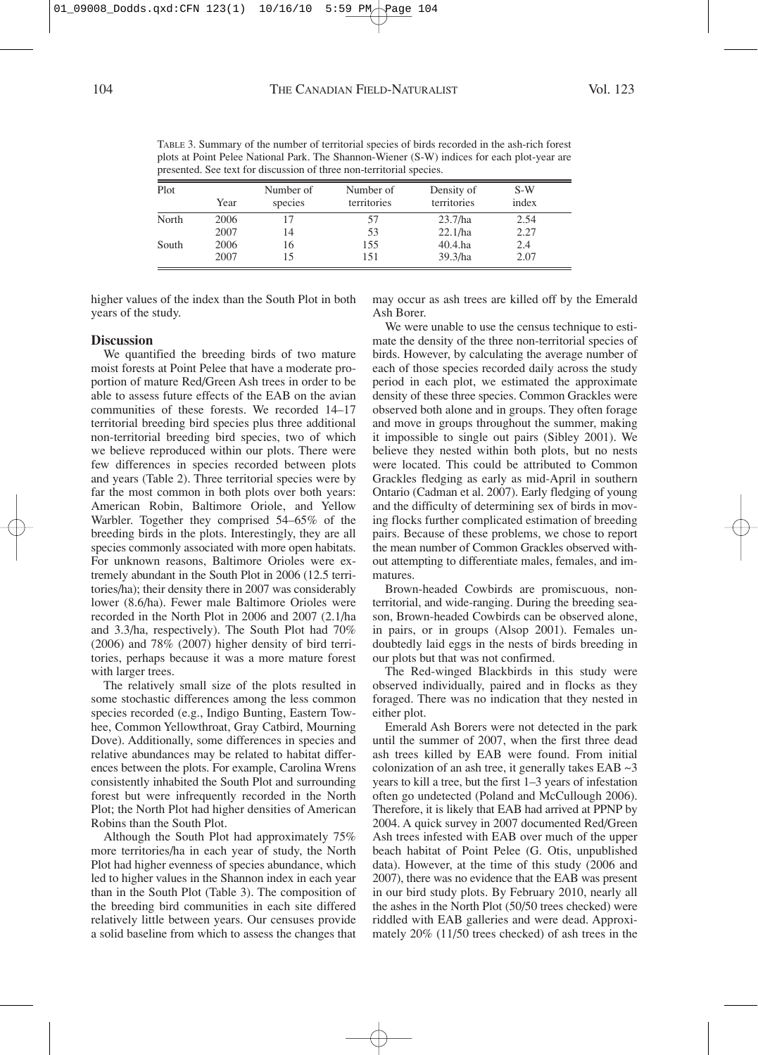| plots at Point Pelee National Park. The Shannon-Wiener (S-W) indices for each plot-year a<br>presented. See text for discussion of three non-territorial species. |      |           |             |             |       |  |  |  |
|-------------------------------------------------------------------------------------------------------------------------------------------------------------------|------|-----------|-------------|-------------|-------|--|--|--|
| Plot                                                                                                                                                              |      | Number of | Number of   | Density of  | S-W   |  |  |  |
|                                                                                                                                                                   | Year | species   | territories | territories | index |  |  |  |
| North                                                                                                                                                             | 2006 |           | ∕ ר         | 23.7/ha     | 2.54  |  |  |  |

South 2006 16 155 40.4.ha 2.4

2007 14 53 22.1/ha 2.27

2007 15 151 39.3/ha 2.07

TABLE 3. Summary of the number of territorial species of birds recorded in the ash-rich forest plots at Point Pelee National Park. The Shannon-Wiener (S-W) indices for each plot-year are

higher values of the index than the South Plot in both years of the study.

may occur as ash trees are killed off by the Emerald Ash Borer.

# **Discussion**

We quantified the breeding birds of two mature moist forests at Point Pelee that have a moderate proportion of mature Red/Green Ash trees in order to be able to assess future effects of the EAB on the avian communities of these forests. We recorded 14–17 territorial breeding bird species plus three additional non-territorial breeding bird species, two of which we believe reproduced within our plots. There were few differences in species recorded between plots and years (Table 2). Three territorial species were by far the most common in both plots over both years: American Robin, Baltimore Oriole, and Yellow Warbler. Together they comprised 54–65% of the breeding birds in the plots. Interestingly, they are all species commonly associated with more open habitats. For unknown reasons, Baltimore Orioles were extremely abundant in the South Plot in 2006 (12.5 territories/ha); their density there in 2007 was considerably lower (8.6/ha). Fewer male Baltimore Orioles were recorded in the North Plot in 2006 and 2007 (2.1/ha and 3.3/ha, respectively). The South Plot had 70% (2006) and 78% (2007) higher density of bird territories, perhaps because it was a more mature forest with larger trees.

The relatively small size of the plots resulted in some stochastic differences among the less common species recorded (e.g., Indigo Bunting, Eastern Towhee, Common Yellowthroat, Gray Catbird, Mourning Dove). Additionally, some differences in species and relative abundances may be related to habitat differences between the plots. For example, Carolina Wrens consistently inhabited the South Plot and surrounding forest but were infrequently recorded in the North Plot; the North Plot had higher densities of American Robins than the South Plot.

Although the South Plot had approximately 75% more territories/ha in each year of study, the North Plot had higher evenness of species abundance, which led to higher values in the Shannon index in each year than in the South Plot (Table 3). The composition of the breeding bird communities in each site differed relatively little between years. Our censuses provide a solid baseline from which to assess the changes that

We were unable to use the census technique to estimate the density of the three non-territorial species of birds. However, by calculating the average number of each of those species recorded daily across the study period in each plot, we estimated the approximate density of these three species. Common Grackles were observed both alone and in groups. They often forage and move in groups throughout the summer, making it impossible to single out pairs (Sibley 2001). We believe they nested within both plots, but no nests were located. This could be attributed to Common Grackles fledging as early as mid-April in southern Ontario (Cadman et al. 2007). Early fledging of young and the difficulty of determining sex of birds in moving flocks further complicated estimation of breeding pairs. Because of these problems, we chose to report the mean number of Common Grackles observed without attempting to differentiate males, females, and immatures.

Brown-headed Cowbirds are promiscuous, nonterritorial, and wide-ranging. During the breeding season, Brown-headed Cowbirds can be observed alone, in pairs, or in groups (Alsop 2001). Females undoubtedly laid eggs in the nests of birds breeding in our plots but that was not confirmed.

The Red-winged Blackbirds in this study were observed individually, paired and in flocks as they foraged. There was no indication that they nested in either plot.

Emerald Ash Borers were not detected in the park until the summer of 2007, when the first three dead ash trees killed by EAB were found. From initial colonization of an ash tree, it generally takes  $EAB \sim 3$ years to kill a tree, but the first 1–3 years of infestation often go undetected (Poland and McCullough 2006). Therefore, it is likely that EAB had arrived at PPNP by 2004. A quick survey in 2007 documented Red/Green Ash trees infested with EAB over much of the upper beach habitat of Point Pelee (G. Otis, unpublished data). However, at the time of this study (2006 and 2007), there was no evidence that the EAB was present in our bird study plots. By February 2010, nearly all the ashes in the North Plot (50/50 trees checked) were riddled with EAB galleries and were dead. Approximately 20% (11/50 trees checked) of ash trees in the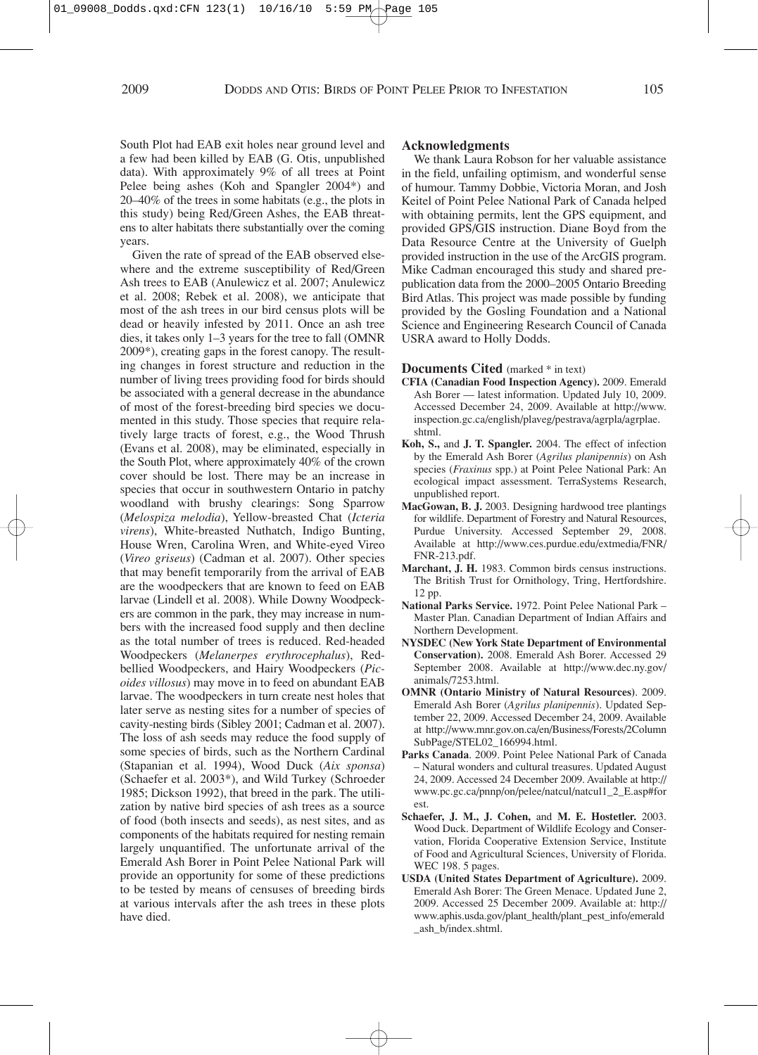South Plot had EAB exit holes near ground level and a few had been killed by EAB (G. Otis, unpublished data). With approximately 9% of all trees at Point Pelee being ashes (Koh and Spangler 2004\*) and 20–40% of the trees in some habitats (e.g., the plots in this study) being Red/Green Ashes, the EAB threatens to alter habitats there substantially over the coming years.

Given the rate of spread of the EAB observed elsewhere and the extreme susceptibility of Red/Green Ash trees to EAB (Anulewicz et al. 2007; Anulewicz et al. 2008; Rebek et al. 2008), we anticipate that most of the ash trees in our bird census plots will be dead or heavily infested by 2011. Once an ash tree dies, it takes only 1–3 years for the tree to fall (OMNR 2009\*), creating gaps in the forest canopy. The resulting changes in forest structure and reduction in the number of living trees providing food for birds should be associated with a general decrease in the abundance of most of the forest-breeding bird species we documented in this study. Those species that require relatively large tracts of forest, e.g., the Wood Thrush (Evans et al. 2008), may be eliminated, especially in the South Plot, where approximately 40% of the crown cover should be lost. There may be an increase in species that occur in southwestern Ontario in patchy woodland with brushy clearings: Song Sparrow (*Melospiza melodia*), Yellow-breasted Chat (*Icteria virens*), White-breasted Nuthatch, Indigo Bunting, House Wren, Carolina Wren, and White-eyed Vireo (*Vireo griseus*) (Cadman et al. 2007). Other species that may benefit temporarily from the arrival of EAB are the woodpeckers that are known to feed on EAB larvae (Lindell et al. 2008). While Downy Woodpeckers are common in the park, they may increase in numbers with the increased food supply and then decline as the total number of trees is reduced. Red-headed Woodpeckers (*Melanerpes erythrocephalus*), Redbellied Woodpeckers, and Hairy Woodpeckers (*Picoides villosus*) may move in to feed on abundant EAB larvae. The woodpeckers in turn create nest holes that later serve as nesting sites for a number of species of cavity-nesting birds (Sibley 2001; Cadman et al. 2007). The loss of ash seeds may reduce the food supply of some species of birds, such as the Northern Cardinal (Stapanian et al. 1994), Wood Duck (*Aix sponsa*) (Schaefer et al. 2003\*), and Wild Turkey (Schroeder 1985; Dickson 1992), that breed in the park. The utilization by native bird species of ash trees as a source of food (both insects and seeds), as nest sites, and as components of the habitats required for nesting remain largely unquantified. The unfortunate arrival of the Emerald Ash Borer in Point Pelee National Park will provide an opportunity for some of these predictions to be tested by means of censuses of breeding birds at various intervals after the ash trees in these plots have died.

## **Acknowledgments**

We thank Laura Robson for her valuable assistance in the field, unfailing optimism, and wonderful sense of humour. Tammy Dobbie, Victoria Moran, and Josh Keitel of Point Pelee National Park of Canada helped with obtaining permits, lent the GPS equipment, and provided GPS/GIS instruction. Diane Boyd from the Data Resource Centre at the University of Guelph provided instruction in the use of the ArcGIS program. Mike Cadman encouraged this study and shared prepublication data from the 2000–2005 Ontario Breeding Bird Atlas. This project was made possible by funding provided by the Gosling Foundation and a National Science and Engineering Research Council of Canada USRA award to Holly Dodds.

# **Documents Cited** (marked \* in text)

- **CFIA (Canadian Food Inspection Agency).** 2009. Emerald Ash Borer — latest information. Updated July 10, 2009. Accessed December 24, 2009. Available at http://www. inspection.gc.ca/english/plaveg/pestrava/agrpla/agrplae. shtml.
- **Koh, S.,** and **J. T. Spangler.** 2004. The effect of infection by the Emerald Ash Borer (*Agrilus planipennis*) on Ash species (*Fraxinus* spp.) at Point Pelee National Park: An ecological impact assessment. TerraSystems Research, unpublished report.
- **MacGowan, B. J.** 2003. Designing hardwood tree plantings for wildlife. Department of Forestry and Natural Resources, Purdue University. Accessed September 29, 2008. Available at http://www.ces.purdue.edu/extmedia/FNR/ FNR-213.pdf.
- **Marchant, J. H.** 1983. Common birds census instructions. The British Trust for Ornithology, Tring, Hertfordshire. 12 pp.
- **National Parks Service.** 1972. Point Pelee National Park Master Plan. Canadian Department of Indian Affairs and Northern Development.
- **NYSDEC (New York State Department of Environmental Conservation).** 2008. Emerald Ash Borer. Accessed 29 September 2008. Available at http://www.dec.ny.gov/ animals/7253.html.
- **OMNR (Ontario Ministry of Natural Resources)**. 2009. Emerald Ash Borer (*Agrilus planipennis*). Updated September 22, 2009. Accessed December 24, 2009. Available at http://www.mnr.gov.on.ca/en/Business/Forests/2Column SubPage/STEL02\_166994.html.
- **Parks Canada**. 2009. Point Pelee National Park of Canada – Natural wonders and cultural treasures. Updated August 24, 2009. Accessed 24 December 2009. Available at http:// www.pc.gc.ca/pnnp/on/pelee/natcul/natcul1\_2\_E.asp#for est.
- **Schaefer, J. M., J. Cohen,** and **M. E. Hostetler.** 2003. Wood Duck. Department of Wildlife Ecology and Conservation, Florida Cooperative Extension Service, Institute of Food and Agricultural Sciences, University of Florida. WEC 198. 5 pages.
- **USDA (United States Department of Agriculture).** 2009. Emerald Ash Borer: The Green Menace. Updated June 2, 2009. Accessed 25 December 2009. Available at: http:// www.aphis.usda.gov/plant\_health/plant\_pest\_info/emerald \_ash\_b/index.shtml.